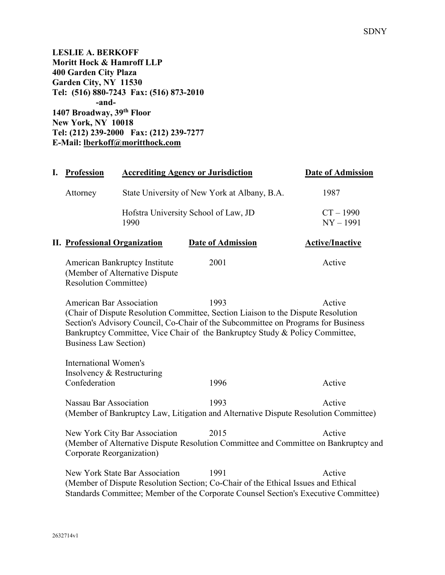**LESLIE A. BERKOFF Moritt Hock & Hamroff LLP 400 Garden City Plaza Garden City, NY 11530 Tel: (516) 880-7243 Fax: (516) 873-2010 -and-1407 Broadway, 39th Floor New York, NY 10018 Tel: (212) 239-2000 Fax: (212) 239-7277 E-Mail: lberkoff@moritthock.com**

| I. | <b>Profession</b>                                                                                                                                                                                                                                                                                                                                                                                   |                                                                 | <b>Accrediting Agency or Jurisdiction</b>                                                   | <b>Date of Admission</b>   |
|----|-----------------------------------------------------------------------------------------------------------------------------------------------------------------------------------------------------------------------------------------------------------------------------------------------------------------------------------------------------------------------------------------------------|-----------------------------------------------------------------|---------------------------------------------------------------------------------------------|----------------------------|
|    | Attorney                                                                                                                                                                                                                                                                                                                                                                                            |                                                                 | State University of New York at Albany, B.A.                                                | 1987                       |
|    |                                                                                                                                                                                                                                                                                                                                                                                                     | 1990                                                            | Hofstra University School of Law, JD                                                        | $CT - 1990$<br>$NY - 1991$ |
|    | <b>II.</b> Professional Organization                                                                                                                                                                                                                                                                                                                                                                |                                                                 | <b>Date of Admission</b>                                                                    | <b>Active/Inactive</b>     |
|    | <b>Resolution Committee)</b>                                                                                                                                                                                                                                                                                                                                                                        | American Bankruptcy Institute<br>(Member of Alternative Dispute | 2001                                                                                        | Active                     |
|    | <b>American Bar Association</b><br>1993<br>Active<br>(Chair of Dispute Resolution Committee, Section Liaison to the Dispute Resolution<br>Section's Advisory Council, Co-Chair of the Subcommittee on Programs for Business<br>Bankruptcy Committee, Vice Chair of the Bankruptcy Study & Policy Committee,<br><b>Business Law Section</b> )                                                        |                                                                 |                                                                                             |                            |
|    | <b>International Women's</b><br>Insolvency & Restructuring<br>Confederation                                                                                                                                                                                                                                                                                                                         |                                                                 | 1996                                                                                        | Active                     |
|    | Nassau Bar Association                                                                                                                                                                                                                                                                                                                                                                              |                                                                 | 1993<br>(Member of Bankruptcy Law, Litigation and Alternative Dispute Resolution Committee) | Active                     |
|    | Active<br>New York City Bar Association<br>2015<br>(Member of Alternative Dispute Resolution Committee and Committee on Bankruptcy and<br>Corporate Reorganization)<br>New York State Bar Association<br>1991<br>Active<br>(Member of Dispute Resolution Section; Co-Chair of the Ethical Issues and Ethical<br>Standards Committee; Member of the Corporate Counsel Section's Executive Committee) |                                                                 |                                                                                             |                            |
|    |                                                                                                                                                                                                                                                                                                                                                                                                     |                                                                 |                                                                                             |                            |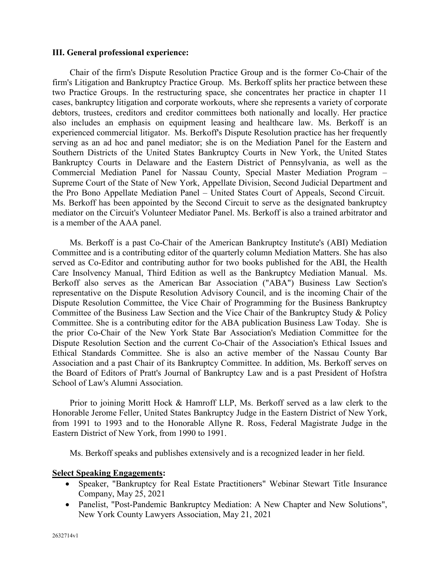#### **III. General professional experience:**

Chair of the firm's Dispute Resolution Practice Group and is the former Co-Chair of the firm's Litigation and Bankruptcy Practice Group. Ms. Berkoff splits her practice between these two Practice Groups. In the restructuring space, she concentrates her practice in chapter 11 cases, bankruptcy litigation and corporate workouts, where she represents a variety of corporate debtors, trustees, creditors and creditor committees both nationally and locally. Her practice also includes an emphasis on equipment leasing and healthcare law. Ms. Berkoff is an experienced commercial litigator. Ms. Berkoff's Dispute Resolution practice has her frequently serving as an ad hoc and panel mediator; she is on the Mediation Panel for the Eastern and Southern Districts of the United States Bankruptcy Courts in New York, the United States Bankruptcy Courts in Delaware and the Eastern District of Pennsylvania, as well as the Commercial Mediation Panel for Nassau County, Special Master Mediation Program – Supreme Court of the State of New York, Appellate Division, Second Judicial Department and the Pro Bono Appellate Mediation Panel – United States Court of Appeals, Second Circuit. Ms. Berkoff has been appointed by the Second Circuit to serve as the designated bankruptcy mediator on the Circuit's Volunteer Mediator Panel. Ms. Berkoff is also a trained arbitrator and is a member of the AAA panel.

Ms. Berkoff is a past Co-Chair of the American Bankruptcy Institute's (ABI) Mediation Committee and is a contributing editor of the quarterly column Mediation Matters. She has also served as Co-Editor and contributing author for two books published for the ABI, the Health Care Insolvency Manual, Third Edition as well as the Bankruptcy Mediation Manual. Ms. Berkoff also serves as the American Bar Association ("ABA") Business Law Section's representative on the Dispute Resolution Advisory Council, and is the incoming Chair of the Dispute Resolution Committee, the Vice Chair of Programming for the Business Bankruptcy Committee of the Business Law Section and the Vice Chair of the Bankruptcy Study & Policy Committee. She is a contributing editor for the ABA publication Business Law Today. She is the prior Co-Chair of the New York State Bar Association's Mediation Committee for the Dispute Resolution Section and the current Co-Chair of the Association's Ethical Issues and Ethical Standards Committee. She is also an active member of the Nassau County Bar Association and a past Chair of its Bankruptcy Committee. In addition, Ms. Berkoff serves on the Board of Editors of Pratt's Journal of Bankruptcy Law and is a past President of Hofstra School of Law's Alumni Association.

Prior to joining Moritt Hock & Hamroff LLP, Ms. Berkoff served as a law clerk to the Honorable Jerome Feller, United States Bankruptcy Judge in the Eastern District of New York, from 1991 to 1993 and to the Honorable Allyne R. Ross, Federal Magistrate Judge in the Eastern District of New York, from 1990 to 1991.

Ms. Berkoff speaks and publishes extensively and is a recognized leader in her field.

#### **Select Speaking Engagements:**

- Speaker, "Bankruptcy for Real Estate Practitioners" Webinar Stewart Title Insurance Company, May 25, 2021
- Panelist, "Post-Pandemic Bankruptcy Mediation: A New Chapter and New Solutions", New York County Lawyers Association, May 21, 2021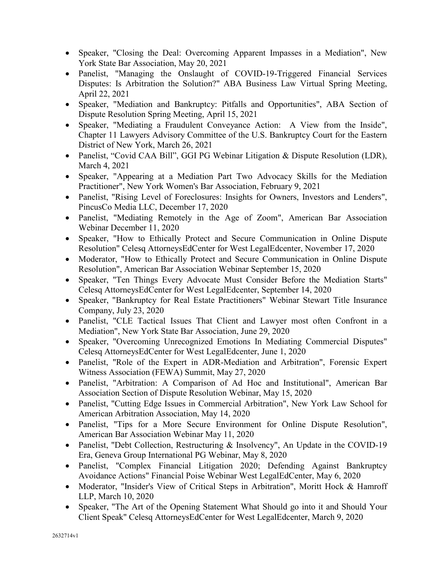- Speaker, "Closing the Deal: Overcoming Apparent Impasses in a Mediation", New York State Bar Association, May 20, 2021
- Panelist, "Managing the Onslaught of COVID-19-Triggered Financial Services Disputes: Is Arbitration the Solution?" ABA Business Law Virtual Spring Meeting, April 22, 2021
- Speaker, "Mediation and Bankruptcy: Pitfalls and Opportunities", ABA Section of Dispute Resolution Spring Meeting, April 15, 2021
- Speaker, "Mediating a Fraudulent Conveyance Action: A View from the Inside", Chapter 11 Lawyers Advisory Committee of the U.S. Bankruptcy Court for the Eastern District of New York, March 26, 2021
- Panelist, "Covid CAA Bill", GGI PG Webinar Litigation & Dispute Resolution (LDR), March 4, 2021
- Speaker, "Appearing at a Mediation Part Two Advocacy Skills for the Mediation Practitioner", New York Women's Bar Association, February 9, 2021
- Panelist, "Rising Level of Foreclosures: Insights for Owners, Investors and Lenders", PincusCo Media LLC, December 17, 2020
- Panelist, "Mediating Remotely in the Age of Zoom", American Bar Association Webinar December 11, 2020
- Speaker, "How to Ethically Protect and Secure Communication in Online Dispute Resolution" Celesq AttorneysEdCenter for West LegalEdcenter, November 17, 2020
- Moderator, "How to Ethically Protect and Secure Communication in Online Dispute Resolution", American Bar Association Webinar September 15, 2020
- Speaker, "Ten Things Every Advocate Must Consider Before the Mediation Starts" Celesq AttorneysEdCenter for West LegalEdcenter, September 14, 2020
- Speaker, "Bankruptcy for Real Estate Practitioners" Webinar Stewart Title Insurance Company, July 23, 2020
- Panelist, "CLE Tactical Issues That Client and Lawyer most often Confront in a Mediation", New York State Bar Association, June 29, 2020
- Speaker, "Overcoming Unrecognized Emotions In Mediating Commercial Disputes" Celesq AttorneysEdCenter for West LegalEdcenter, June 1, 2020
- Panelist, "Role of the Expert in ADR-Mediation and Arbitration", Forensic Expert Witness Association (FEWA) Summit, May 27, 2020
- Panelist, "Arbitration: A Comparison of Ad Hoc and Institutional", American Bar Association Section of Dispute Resolution Webinar, May 15, 2020
- Panelist, "Cutting Edge Issues in Commercial Arbitration", New York Law School for American Arbitration Association, May 14, 2020
- Panelist, "Tips for a More Secure Environment for Online Dispute Resolution", American Bar Association Webinar May 11, 2020
- Panelist, "Debt Collection, Restructuring & Insolvency", An Update in the COVID-19 Era, Geneva Group International PG Webinar, May 8, 2020
- Panelist, "Complex Financial Litigation 2020; Defending Against Bankruptcy Avoidance Actions" Financial Poise Webinar West LegalEdCenter, May 6, 2020
- Moderator, "Insider's View of Critical Steps in Arbitration", Moritt Hock & Hamroff LLP, March 10, 2020
- Speaker, "The Art of the Opening Statement What Should go into it and Should Your Client Speak" Celesq AttorneysEdCenter for West LegalEdcenter, March 9, 2020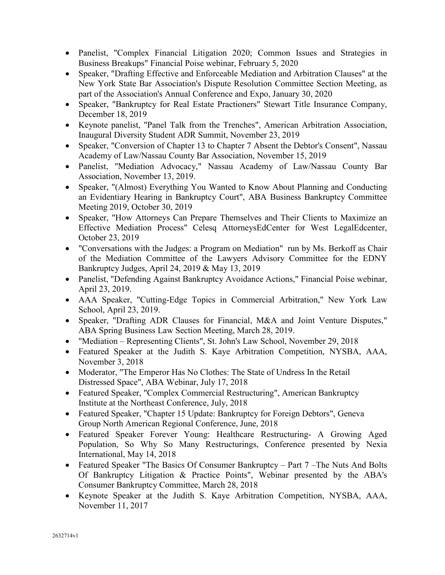- Panelist, "Complex Financial Litigation 2020; Common Issues and Strategies in Business Breakups" Financial Poise webinar, February 5, 2020
- Speaker, "Drafting Effective and Enforceable Mediation and Arbitration Clauses" at the New York State Bar Association's Dispute Resolution Committee Section Meeting, as part of the Association's Annual Conference and Expo, January 30, 2020
- Speaker, "Bankruptcy for Real Estate Practioners" Stewart Title Insurance Company, December 18, 2019
- Keynote panelist, "Panel Talk from the Trenches", American Arbitration Association, Inaugural Diversity Student ADR Summit, November 23, 2019
- Speaker, "Conversion of Chapter 13 to Chapter 7 Absent the Debtor's Consent", Nassau Academy of Law/Nassau County Bar Association, November 15, 2019
- Panelist, "Mediation Advocacy," Nassau Academy of Law/Nassau County Bar Association, November 13, 2019.
- Speaker, "(Almost) Everything You Wanted to Know About Planning and Conducting an Evidentiary Hearing in Bankruptcy Court", ABA Business Bankruptcy Committee Meeting 2019, October 30, 2019
- Speaker, "How Attorneys Can Prepare Themselves and Their Clients to Maximize an Effective Mediation Process" Celesq AttorneysEdCenter for West LegalEdcenter, October 23, 2019
- "Conversations with the Judges: a Program on Mediation" run by Ms. Berkoff as Chair of the Mediation Committee of the Lawyers Advisory Committee for the EDNY Bankruptcy Judges, April 24, 2019 & May 13, 2019
- Panelist, "Defending Against Bankruptcy Avoidance Actions," Financial Poise webinar, April 23, 2019.
- AAA Speaker, "Cutting-Edge Topics in Commercial Arbitration," New York Law School, April 23, 2019.
- Speaker, "Drafting ADR Clauses for Financial, M&A and Joint Venture Disputes," ABA Spring Business Law Section Meeting, March 28, 2019.
- "Mediation Representing Clients", St. John's Law School, November 29, 2018
- Featured Speaker at the Judith S. Kaye Arbitration Competition, NYSBA, AAA, November 3, 2018
- Moderator, "The Emperor Has No Clothes: The State of Undress In the Retail Distressed Space", ABA Webinar, July 17, 2018
- Featured Speaker, "Complex Commercial Restructuring", American Bankruptcy Institute at the Northeast Conference, July, 2018
- Featured Speaker, "Chapter 15 Update: Bankruptcy for Foreign Debtors", Geneva Group North American Regional Conference, June, 2018
- Featured Speaker Forever Young: Healthcare Restructuring- A Growing Aged Population, So Why So Many Restructurings, Conference presented by Nexia International, May 14, 2018
- Featured Speaker "The Basics Of Consumer Bankruptcy Part 7 The Nuts And Bolts Of Bankruptcy Litigation & Practice Points", Webinar presented by the ABA's Consumer Bankruptcy Committee, March 28, 2018
- Keynote Speaker at the Judith S. Kaye Arbitration Competition, NYSBA, AAA, November 11, 2017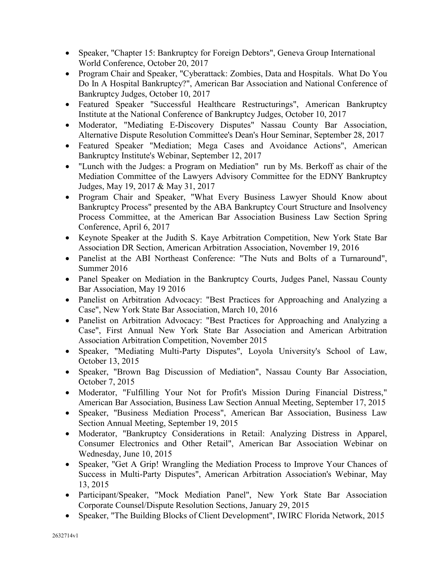- Speaker, "Chapter 15: Bankruptcy for Foreign Debtors", Geneva Group International World Conference, October 20, 2017
- Program Chair and Speaker, "Cyberattack: Zombies, Data and Hospitals. What Do You Do In A Hospital Bankruptcy?", American Bar Association and National Conference of Bankruptcy Judges, October 10, 2017
- Featured Speaker "Successful Healthcare Restructurings", American Bankruptcy Institute at the National Conference of Bankruptcy Judges, October 10, 2017
- Moderator, "Mediating E-Discovery Disputes" Nassau County Bar Association, Alternative Dispute Resolution Committee's Dean's Hour Seminar, September 28, 2017
- Featured Speaker "Mediation; Mega Cases and Avoidance Actions", American Bankruptcy Institute's Webinar, September 12, 2017
- "Lunch with the Judges: a Program on Mediation" run by Ms. Berkoff as chair of the Mediation Committee of the Lawyers Advisory Committee for the EDNY Bankruptcy Judges, May 19, 2017 & May 31, 2017
- Program Chair and Speaker, "What Every Business Lawyer Should Know about Bankruptcy Process" presented by the ABA Bankruptcy Court Structure and Insolvency Process Committee, at the American Bar Association Business Law Section Spring Conference, April 6, 2017
- Keynote Speaker at the Judith S. Kaye Arbitration Competition, New York State Bar Association DR Section, American Arbitration Association, November 19, 2016
- Panelist at the ABI Northeast Conference: "The Nuts and Bolts of a Turnaround", Summer 2016
- Panel Speaker on Mediation in the Bankruptcy Courts, Judges Panel, Nassau County Bar Association, May 19 2016
- Panelist on Arbitration Advocacy: "Best Practices for Approaching and Analyzing a Case", New York State Bar Association, March 10, 2016
- Panelist on Arbitration Advocacy: "Best Practices for Approaching and Analyzing a Case", First Annual New York State Bar Association and American Arbitration Association Arbitration Competition, November 2015
- Speaker, "Mediating Multi-Party Disputes", Loyola University's School of Law, October 13, 2015
- Speaker, "Brown Bag Discussion of Mediation", Nassau County Bar Association, October 7, 2015
- Moderator, "Fulfilling Your Not for Profit's Mission During Financial Distress," American Bar Association, Business Law Section Annual Meeting, September 17, 2015
- Speaker, "Business Mediation Process", American Bar Association, Business Law Section Annual Meeting, September 19, 2015
- Moderator, "Bankruptcy Considerations in Retail: Analyzing Distress in Apparel, Consumer Electronics and Other Retail", American Bar Association Webinar on Wednesday, June 10, 2015
- Speaker, "Get A Grip! Wrangling the Mediation Process to Improve Your Chances of Success in Multi-Party Disputes", American Arbitration Association's Webinar, May 13, 2015
- Participant/Speaker, "Mock Mediation Panel", New York State Bar Association Corporate Counsel/Dispute Resolution Sections, January 29, 2015
- Speaker, "The Building Blocks of Client Development", IWIRC Florida Network, 2015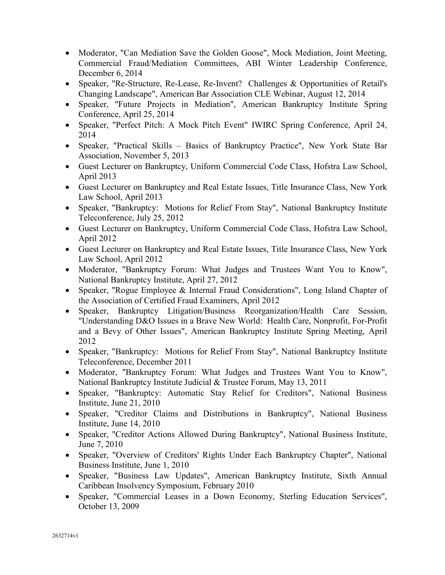- Moderator, "Can Mediation Save the Golden Goose", Mock Mediation, Joint Meeting, Commercial Fraud/Mediation Committees, ABI Winter Leadership Conference, December 6, 2014
- Speaker, "Re-Structure, Re-Lease, Re-Invent? Challenges & Opportunities of Retail's Changing Landscape", American Bar Association CLE Webinar, August 12, 2014
- Speaker, "Future Projects in Mediation", American Bankruptcy Institute Spring Conference, April 25, 2014
- Speaker, "Perfect Pitch: A Mock Pitch Event" IWIRC Spring Conference, April 24, 2014
- Speaker, "Practical Skills Basics of Bankruptcy Practice", New York State Bar Association, November 5, 2013
- Guest Lecturer on Bankruptcy, Uniform Commercial Code Class, Hofstra Law School, April 2013
- Guest Lecturer on Bankruptcy and Real Estate Issues, Title Insurance Class, New York Law School, April 2013
- Speaker, "Bankruptcy: Motions for Relief From Stay", National Bankruptcy Institute Teleconference, July 25, 2012
- Guest Lecturer on Bankruptcy, Uniform Commercial Code Class, Hofstra Law School, April 2012
- Guest Lecturer on Bankruptcy and Real Estate Issues, Title Insurance Class, New York Law School, April 2012
- Moderator, "Bankruptcy Forum: What Judges and Trustees Want You to Know", National Bankruptcy Institute, April 27, 2012
- Speaker, "Rogue Employee & Internal Fraud Considerations", Long Island Chapter of the Association of Certified Fraud Examiners, April 2012
- Speaker, Bankruptcy Litigation/Business Reorganization/Health Care Session, "Understanding D&O Issues in a Brave New World: Health Care, Nonprofit, For-Profit and a Bevy of Other Issues", American Bankruptcy Institute Spring Meeting, April 2012
- Speaker, "Bankruptcy: Motions for Relief From Stay", National Bankruptcy Institute Teleconference, December 2011
- Moderator, "Bankruptcy Forum: What Judges and Trustees Want You to Know", National Bankruptcy Institute Judicial & Trustee Forum, May 13, 2011
- Speaker, "Bankruptcy: Automatic Stay Relief for Creditors", National Business Institute, June 21, 2010
- Speaker, "Creditor Claims and Distributions in Bankruptcy", National Business Institute, June 14, 2010
- Speaker, "Creditor Actions Allowed During Bankruptcy", National Business Institute, June 7, 2010
- Speaker, "Overview of Creditors' Rights Under Each Bankruptcy Chapter", National Business Institute, June 1, 2010
- Speaker, "Business Law Updates", American Bankruptcy Institute, Sixth Annual Caribbean Insolvency Symposium, February 2010
- Speaker, "Commercial Leases in a Down Economy, Sterling Education Services", October 13, 2009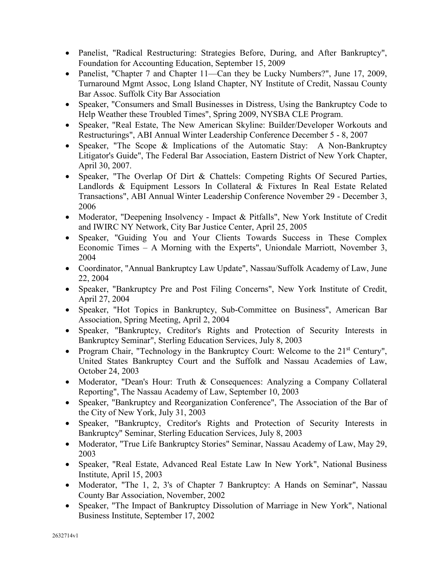- Panelist, "Radical Restructuring: Strategies Before, During, and After Bankruptcy", Foundation for Accounting Education, September 15, 2009
- Panelist, "Chapter 7 and Chapter 11—Can they be Lucky Numbers?", June 17, 2009, Turnaround Mgmt Assoc, Long Island Chapter, NY Institute of Credit, Nassau County Bar Assoc. Suffolk City Bar Association
- Speaker, "Consumers and Small Businesses in Distress, Using the Bankruptcy Code to Help Weather these Troubled Times", Spring 2009, NYSBA CLE Program.
- Speaker, "Real Estate, The New American Skyline: Builder/Developer Workouts and Restructurings", ABI Annual Winter Leadership Conference December 5 - 8, 2007
- Speaker, "The Scope & Implications of the Automatic Stay: A Non-Bankruptcy Litigator's Guide", The Federal Bar Association, Eastern District of New York Chapter, April 30, 2007.
- Speaker, "The Overlap Of Dirt & Chattels: Competing Rights Of Secured Parties, Landlords & Equipment Lessors In Collateral & Fixtures In Real Estate Related Transactions", ABI Annual Winter Leadership Conference November 29 - December 3, 2006
- Moderator, "Deepening Insolvency Impact & Pitfalls", New York Institute of Credit and IWIRC NY Network, City Bar Justice Center, April 25, 2005
- Speaker, "Guiding You and Your Clients Towards Success in These Complex Economic Times – A Morning with the Experts", Uniondale Marriott, November 3, 2004
- Coordinator, "Annual Bankruptcy Law Update", Nassau/Suffolk Academy of Law, June 22, 2004
- Speaker, "Bankruptcy Pre and Post Filing Concerns", New York Institute of Credit, April 27, 2004
- Speaker, "Hot Topics in Bankruptcy, Sub-Committee on Business", American Bar Association, Spring Meeting, April 2, 2004
- Speaker, "Bankruptcy, Creditor's Rights and Protection of Security Interests in Bankruptcy Seminar", Sterling Education Services, July 8, 2003
- Program Chair, "Technology in the Bankruptcy Court: Welcome to the  $21<sup>st</sup>$  Century", United States Bankruptcy Court and the Suffolk and Nassau Academies of Law, October 24, 2003
- Moderator, "Dean's Hour: Truth & Consequences: Analyzing a Company Collateral Reporting", The Nassau Academy of Law, September 10, 2003
- Speaker, "Bankruptcy and Reorganization Conference", The Association of the Bar of the City of New York, July 31, 2003
- Speaker, "Bankruptcy, Creditor's Rights and Protection of Security Interests in Bankruptcy" Seminar, Sterling Education Services, July 8, 2003
- Moderator, "True Life Bankruptcy Stories" Seminar, Nassau Academy of Law, May 29, 2003
- Speaker, "Real Estate, Advanced Real Estate Law In New York", National Business Institute, April 15, 2003
- Moderator, "The 1, 2, 3's of Chapter 7 Bankruptcy: A Hands on Seminar", Nassau County Bar Association, November, 2002
- Speaker, "The Impact of Bankruptcy Dissolution of Marriage in New York", National Business Institute, September 17, 2002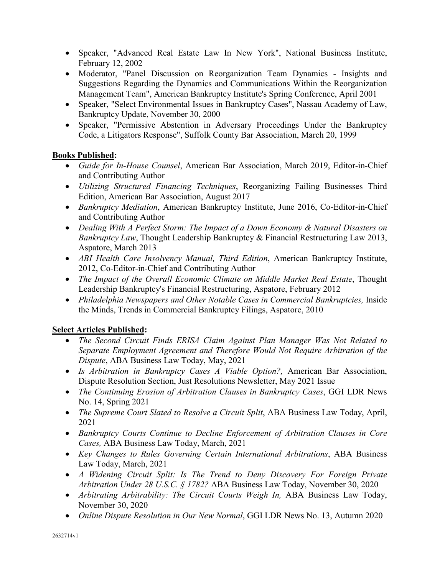- Speaker, "Advanced Real Estate Law In New York", National Business Institute, February 12, 2002
- Moderator, "Panel Discussion on Reorganization Team Dynamics Insights and Suggestions Regarding the Dynamics and Communications Within the Reorganization Management Team", American Bankruptcy Institute's Spring Conference, April 2001
- Speaker, "Select Environmental Issues in Bankruptcy Cases", Nassau Academy of Law, Bankruptcy Update, November 30, 2000
- Speaker, "Permissive Abstention in Adversary Proceedings Under the Bankruptcy Code, a Litigators Response", Suffolk County Bar Association, March 20, 1999

# **Books Published:**

- *Guide for In-House Counsel*, American Bar Association, March 2019, Editor-in-Chief and Contributing Author
- *Utilizing Structured Financing Techniques*, Reorganizing Failing Businesses Third Edition, American Bar Association, August 2017
- *Bankruptcy Mediation*, American Bankruptcy Institute, June 2016, Co-Editor-in-Chief and Contributing Author
- *Dealing With A Perfect Storm: The Impact of a Down Economy & Natural Disasters on Bankruptcy Law*, Thought Leadership Bankruptcy & Financial Restructuring Law 2013, Aspatore, March 2013
- *ABI Health Care Insolvency Manual, Third Edition*, American Bankruptcy Institute, 2012, Co-Editor-in-Chief and Contributing Author
- *The Impact of the Overall Economic Climate on Middle Market Real Estate*, Thought Leadership Bankruptcy's Financial Restructuring, Aspatore, February 2012
- *Philadelphia Newspapers and Other Notable Cases in Commercial Bankruptcies, Inside* the Minds, Trends in Commercial Bankruptcy Filings, Aspatore, 2010

## **Select Articles Published:**

- *The Second Circuit Finds ERISA Claim Against Plan Manager Was Not Related to Separate Employment Agreement and Therefore Would Not Require Arbitration of the Dispute*, ABA Business Law Today, May, 2021
- *Is Arbitration in Bankruptcy Cases A Viable Option?,* American Bar Association, Dispute Resolution Section, Just Resolutions Newsletter, May 2021 Issue
- *The Continuing Erosion of Arbitration Clauses in Bankruptcy Cases*, GGI LDR News No. 14, Spring 2021
- *The Supreme Court Slated to Resolve a Circuit Split*, ABA Business Law Today, April, 2021
- *Bankruptcy Courts Continue to Decline Enforcement of Arbitration Clauses in Core Cases,* ABA Business Law Today, March, 2021
- *Key Changes to Rules Governing Certain International Arbitrations*, ABA Business Law Today, March, 2021
- *A Widening Circuit Split: Is The Trend to Deny Discovery For Foreign Private Arbitration Under 28 U.S.C. § 1782?* ABA Business Law Today, November 30, 2020
- *Arbitrating Arbitrability: The Circuit Courts Weigh In,* ABA Business Law Today, November 30, 2020
- *Online Dispute Resolution in Our New Normal*, GGI LDR News No. 13, Autumn 2020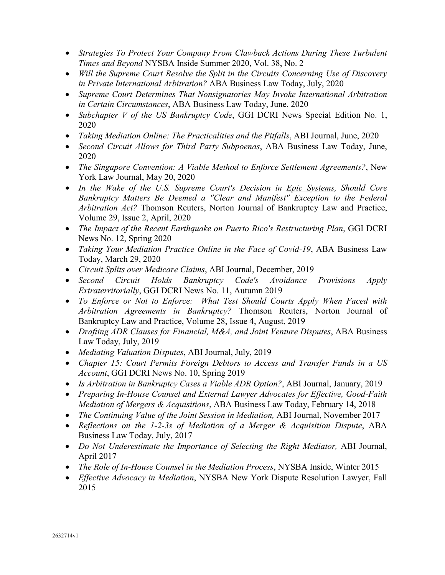- *Strategies To Protect Your Company From Clawback Actions During These Turbulent Times and Beyond* NYSBA Inside Summer 2020, Vol. 38, No. 2
- *Will the Supreme Court Resolve the Split in the Circuits Concerning Use of Discovery in Private International Arbitration?* ABA Business Law Today, July, 2020
- *Supreme Court Determines That Nonsignatories May Invoke International Arbitration in Certain Circumstances*, ABA Business Law Today, June, 2020
- *Subchapter V of the US Bankruptcy Code*, GGI DCRI News Special Edition No. 1, 2020
- *Taking Mediation Online: The Practicalities and the Pitfalls*, ABI Journal, June, 2020
- *Second Circuit Allows for Third Party Subpoenas*, ABA Business Law Today, June, 2020
- *The Singapore Convention: A Viable Method to Enforce Settlement Agreements?*, New York Law Journal, May 20, 2020
- *In the Wake of the U.S. Supreme Court's Decision in Epic Systems, Should Core Bankruptcy Matters Be Deemed a "Clear and Manifest" Exception to the Federal Arbitration Act?* Thomson Reuters, Norton Journal of Bankruptcy Law and Practice, Volume 29, Issue 2, April, 2020
- *The Impact of the Recent Earthquake on Puerto Rico's Restructuring Plan*, GGI DCRI News No. 12, Spring 2020
- *Taking Your Mediation Practice Online in the Face of Covid-19*, ABA Business Law Today, March 29, 2020
- *Circuit Splits over Medicare Claims*, ABI Journal, December, 2019
- *Second Circuit Holds Bankruptcy Code's Avoidance Provisions Apply Extraterritorially*, GGI DCRI News No. 11, Autumn 2019
- *To Enforce or Not to Enforce: What Test Should Courts Apply When Faced with Arbitration Agreements in Bankruptcy?* Thomson Reuters, Norton Journal of Bankruptcy Law and Practice, Volume 28, Issue 4, August, 2019
- *Drafting ADR Clauses for Financial, M&A, and Joint Venture Disputes*, ABA Business Law Today, July, 2019
- *Mediating Valuation Disputes*, ABI Journal, July, 2019
- *Chapter 15: Court Permits Foreign Debtors to Access and Transfer Funds in a US Account*, GGI DCRI News No. 10, Spring 2019
- *Is Arbitration in Bankruptcy Cases a Viable ADR Option?*, ABI Journal, January, 2019
- *Preparing In-House Counsel and External Lawyer Advocates for Effective, Good-Faith Mediation of Mergers & Acquisitions*, ABA Business Law Today, February 14, 2018
- *The Continuing Value of the Joint Session in Mediation, ABI Journal, November 2017*
- *Reflections on the 1-2-3s of Mediation of a Merger & Acquisition Dispute*, ABA Business Law Today, July, 2017
- *Do Not Underestimate the Importance of Selecting the Right Mediator*, ABI Journal, April 2017
- *The Role of In-House Counsel in the Mediation Process*, NYSBA Inside, Winter 2015
- *Effective Advocacy in Mediation*, NYSBA New York Dispute Resolution Lawyer, Fall 2015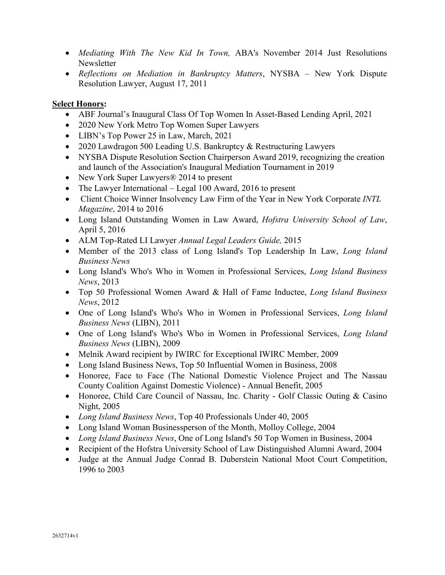- *Mediating With The New Kid In Town,* ABA's November 2014 Just Resolutions Newsletter
- *Reflections on Mediation in Bankruptcy Matters*, NYSBA New York Dispute Resolution Lawyer, August 17, 2011

## **Select Honors:**

- ABF Journal's Inaugural Class Of Top Women In Asset-Based Lending April, 2021
- 2020 New York Metro Top Women Super Lawyers
- LIBN's Top Power 25 in Law, March, 2021
- 2020 Lawdragon 500 Leading U.S. Bankruptcy & Restructuring Lawyers
- NYSBA Dispute Resolution Section Chairperson Award 2019, recognizing the creation and launch of the Association's Inaugural Mediation Tournament in 2019
- New York Super Lawyers<sup>®</sup> 2014 to present
- The Lawyer International Legal 100 Award, 2016 to present
- Client Choice Winner Insolvency Law Firm of the Year in New York Corporate *INTL Magazine*, 2014 to 2016
- Long Island Outstanding Women in Law Award, *Hofstra University School of Law*, April 5, 2016
- ALM Top-Rated LI Lawyer *Annual Legal Leaders Guide,* 2015
- Member of the 2013 class of Long Island's Top Leadership In Law, *Long Island Business News*
- Long Island's Who's Who in Women in Professional Services, *Long Island Business News*, 2013
- Top 50 Professional Women Award & Hall of Fame Inductee, *Long Island Business News*, 2012
- One of Long Island's Who's Who in Women in Professional Services, *Long Island Business News* (LIBN), 2011
- One of Long Island's Who's Who in Women in Professional Services, *Long Island Business News* (LIBN), 2009
- Melnik Award recipient by IWIRC for Exceptional IWIRC Member, 2009
- Long Island Business News, Top 50 Influential Women in Business, 2008
- Honoree, Face to Face (The National Domestic Violence Project and The Nassau County Coalition Against Domestic Violence) - Annual Benefit, 2005
- Honoree, Child Care Council of Nassau, Inc. Charity Golf Classic Outing & Casino Night, 2005
- *Long Island Business News*, Top 40 Professionals Under 40, 2005
- Long Island Woman Businessperson of the Month, Molloy College, 2004
- *Long Island Business News*, One of Long Island's 50 Top Women in Business, 2004
- Recipient of the Hofstra University School of Law Distinguished Alumni Award, 2004
- Judge at the Annual Judge Conrad B. Duberstein National Moot Court Competition, 1996 to 2003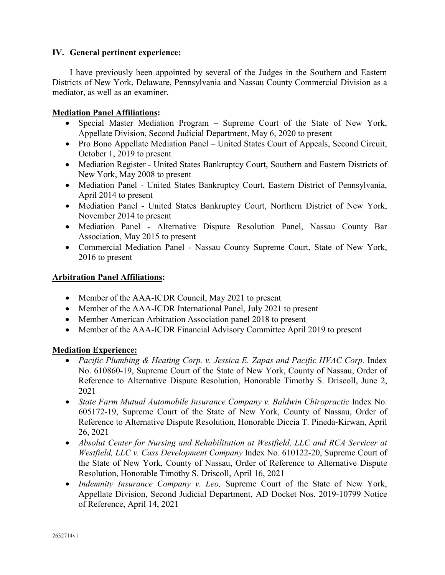### **IV. General pertinent experience:**

I have previously been appointed by several of the Judges in the Southern and Eastern Districts of New York, Delaware, Pennsylvania and Nassau County Commercial Division as a mediator, as well as an examiner.

### **Mediation Panel Affiliations:**

- Special Master Mediation Program Supreme Court of the State of New York, Appellate Division, Second Judicial Department, May 6, 2020 to present
- Pro Bono Appellate Mediation Panel United States Court of Appeals, Second Circuit, October 1, 2019 to present
- Mediation Register United States Bankruptcy Court, Southern and Eastern Districts of New York, May 2008 to present
- Mediation Panel United States Bankruptcy Court, Eastern District of Pennsylvania, April 2014 to present
- Mediation Panel United States Bankruptcy Court, Northern District of New York, November 2014 to present
- Mediation Panel Alternative Dispute Resolution Panel, Nassau County Bar Association, May 2015 to present
- Commercial Mediation Panel Nassau County Supreme Court, State of New York, 2016 to present

### **Arbitration Panel Affiliations:**

- Member of the AAA-ICDR Council, May 2021 to present
- Member of the AAA-ICDR International Panel, July 2021 to present
- Member American Arbitration Association panel 2018 to present
- Member of the AAA-ICDR Financial Advisory Committee April 2019 to present

## **Mediation Experience:**

- *Pacific Plumbing & Heating Corp. v. Jessica E. Zapas and Pacific HVAC Corp.* Index No. 610860-19, Supreme Court of the State of New York, County of Nassau, Order of Reference to Alternative Dispute Resolution, Honorable Timothy S. Driscoll, June 2, 2021
- *State Farm Mutual Automobile Insurance Company v. Baldwin Chiropractic Index No.* 605172-19, Supreme Court of the State of New York, County of Nassau, Order of Reference to Alternative Dispute Resolution, Honorable Diccia T. Pineda-Kirwan, April 26, 2021
- *Absolut Center for Nursing and Rehabilitation at Westfield, LLC and RCA Servicer at Westfield, LLC v. Cass Development Company* Index No. 610122-20, Supreme Court of the State of New York, County of Nassau, Order of Reference to Alternative Dispute Resolution, Honorable Timothy S. Driscoll, April 16, 2021
- *Indemnity Insurance Company v. Leo,* Supreme Court of the State of New York, Appellate Division, Second Judicial Department, AD Docket Nos. 2019-10799 Notice of Reference, April 14, 2021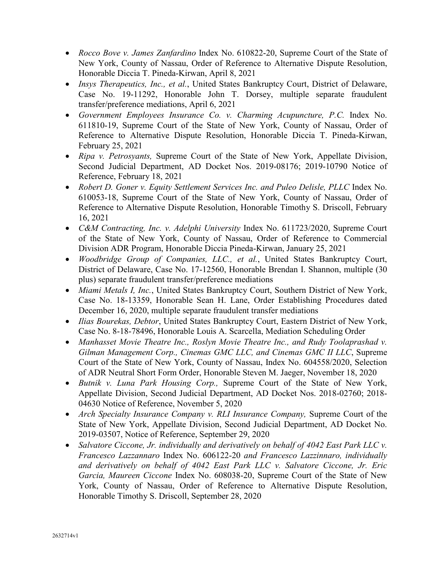- *Rocco Bove v. James Zanfardino* Index No. 610822-20, Supreme Court of the State of New York, County of Nassau, Order of Reference to Alternative Dispute Resolution, Honorable Diccia T. Pineda-Kirwan, April 8, 2021
- *Insys Therapeutics, Inc., et al.*, United States Bankruptcy Court, District of Delaware, Case No. 19-11292, Honorable John T. Dorsey, multiple separate fraudulent transfer/preference mediations, April 6, 2021
- *Government Employees Insurance Co. v. Charming Acupuncture, P.C.* Index No. 611810-19, Supreme Court of the State of New York, County of Nassau, Order of Reference to Alternative Dispute Resolution, Honorable Diccia T. Pineda-Kirwan, February 25, 2021
- *Ripa v. Petrosyants,* Supreme Court of the State of New York, Appellate Division, Second Judicial Department, AD Docket Nos. 2019-08176; 2019-10790 Notice of Reference, February 18, 2021
- *Robert D. Goner v. Equity Settlement Services Inc. and Puleo Delisle, PLLC* Index No. 610053-18, Supreme Court of the State of New York, County of Nassau, Order of Reference to Alternative Dispute Resolution, Honorable Timothy S. Driscoll, February 16, 2021
- *C&M Contracting, Inc. v. Adelphi University* Index No. 611723/2020, Supreme Court of the State of New York, County of Nassau, Order of Reference to Commercial Division ADR Program, Honorable Diccia Pineda-Kirwan, January 25, 2021
- *Woodbridge Group of Companies, LLC., et al.*, United States Bankruptcy Court, District of Delaware, Case No. 17-12560, Honorable Brendan I. Shannon, multiple (30 plus) separate fraudulent transfer/preference mediations
- *Miami Metals I, Inc.*, United States Bankruptcy Court, Southern District of New York, Case No. 18-13359, Honorable Sean H. Lane, Order Establishing Procedures dated December 16, 2020, multiple separate fraudulent transfer mediations
- *Ilias Bourekas, Debtor*, United States Bankruptcy Court, Eastern District of New York, Case No. 8-18-78496, Honorable Louis A. Scarcella, Mediation Scheduling Order
- *Manhasset Movie Theatre Inc., Roslyn Movie Theatre Inc., and Rudy Toolaprashad v. Gilman Management Corp., Cinemas GMC LLC, and Cinemas GMC II LLC*, Supreme Court of the State of New York, County of Nassau, Index No. 604558/2020, Selection of ADR Neutral Short Form Order, Honorable Steven M. Jaeger, November 18, 2020
- *Butnik v. Luna Park Housing Corp.,* Supreme Court of the State of New York, Appellate Division, Second Judicial Department, AD Docket Nos. 2018-02760; 2018- 04630 Notice of Reference, November 5, 2020
- *Arch Specialty Insurance Company v. RLI Insurance Company,* Supreme Court of the State of New York, Appellate Division, Second Judicial Department, AD Docket No. 2019-03507, Notice of Reference, September 29, 2020
- *Salvatore Ciccone, Jr. individually and derivatively on behalf of 4042 East Park LLC v. Francesco Lazzannaro* Index No. 606122-20 *and Francesco Lazzinnaro, individually and derivatively on behalf of 4042 East Park LLC v. Salvatore Ciccone, Jr. Eric Garcia, Maureen Ciccone* Index No. 608038-20, Supreme Court of the State of New York, County of Nassau, Order of Reference to Alternative Dispute Resolution, Honorable Timothy S. Driscoll, September 28, 2020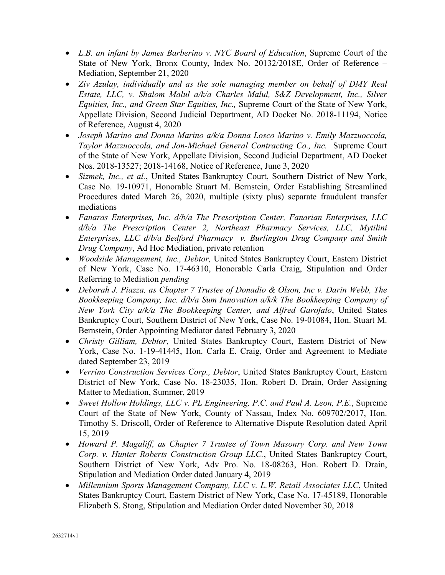- *L.B. an infant by James Barberino v. NYC Board of Education*, Supreme Court of the State of New York, Bronx County, Index No. 20132/2018E, Order of Reference – Mediation, September 21, 2020
- *Ziv Azulay, individually and as the sole managing member on behalf of DMY Real Estate, LLC, v. Shalom Malul a/k/a Charles Malul, S&Z Development, Inc., Silver Equities, Inc., and Green Star Equities, Inc.,* Supreme Court of the State of New York, Appellate Division, Second Judicial Department, AD Docket No. 2018-11194, Notice of Reference, August 4, 2020
- *Joseph Marino and Donna Marino a/k/a Donna Losco Marino v. Emily Mazzuoccola, Taylor Mazzuoccola, and Jon-Michael General Contracting Co., Inc.* Supreme Court of the State of New York, Appellate Division, Second Judicial Department, AD Docket Nos. 2018-13527; 2018-14168, Notice of Reference, June 3, 2020
- *Sizmek, Inc., et al.*, United States Bankruptcy Court, Southern District of New York, Case No. 19-10971, Honorable Stuart M. Bernstein, Order Establishing Streamlined Procedures dated March 26, 2020, multiple (sixty plus) separate fraudulent transfer mediations
- *Fanaras Enterprises, Inc. d/b/a The Prescription Center, Fanarian Enterprises, LLC d/b/a The Prescription Center 2, Northeast Pharmacy Services, LLC, Mytilini Enterprises, LLC d/b/a Bedford Pharmacy v. Burlington Drug Company and Smith Drug Company*, Ad Hoc Mediation, private retention
- *Woodside Management, Inc., Debtor,* United States Bankruptcy Court, Eastern District of New York, Case No. 17-46310, Honorable Carla Craig, Stipulation and Order Referring to Mediation *pending*
- *Deborah J. Piazza, as Chapter 7 Trustee of Donadio & Olson, Inc v. Darin Webb, The Bookkeeping Company, Inc. d/b/a Sum Innovation a/k/k The Bookkeeping Company of New York City a/k/a The Bookkeeping Center, and Alfred Garofalo*, United States Bankruptcy Court, Southern District of New York, Case No. 19-01084, Hon. Stuart M. Bernstein, Order Appointing Mediator dated February 3, 2020
- *Christy Gilliam, Debtor*, United States Bankruptcy Court, Eastern District of New York, Case No. 1-19-41445, Hon. Carla E. Craig, Order and Agreement to Mediate dated September 23, 2019
- *Verrino Construction Services Corp., Debtor, United States Bankruptcy Court, Eastern* District of New York, Case No. 18-23035, Hon. Robert D. Drain, Order Assigning Matter to Mediation, Summer, 2019
- *Sweet Hollow Holdings, LLC v. PL Engineering, P.C. and Paul A. Leon, P.E.*, Supreme Court of the State of New York, County of Nassau, Index No. 609702/2017, Hon. Timothy S. Driscoll, Order of Reference to Alternative Dispute Resolution dated April 15, 2019
- *Howard P. Magaliff, as Chapter 7 Trustee of Town Masonry Corp. and New Town Corp. v. Hunter Roberts Construction Group LLC.*, United States Bankruptcy Court, Southern District of New York, Adv Pro. No. 18-08263, Hon. Robert D. Drain, Stipulation and Mediation Order dated January 4, 2019
- *Millennium Sports Management Company, LLC v. L.W. Retail Associates LLC*, United States Bankruptcy Court, Eastern District of New York, Case No. 17-45189, Honorable Elizabeth S. Stong, Stipulation and Mediation Order dated November 30, 2018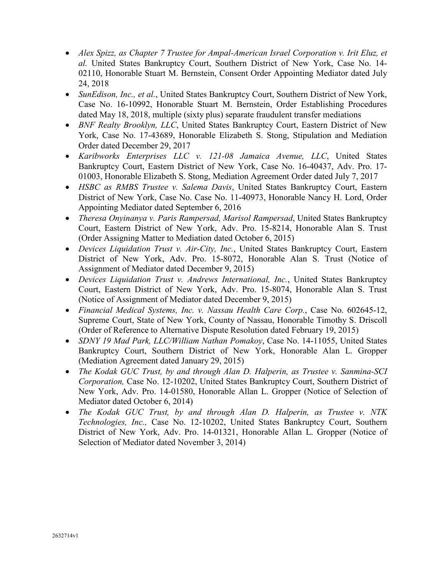- *Alex Spizz, as Chapter 7 Trustee for Ampal-American Israel Corporation v. Irit Eluz, et al.* United States Bankruptcy Court, Southern District of New York, Case No. 14- 02110, Honorable Stuart M. Bernstein, Consent Order Appointing Mediator dated July 24, 2018
- *SunEdison, Inc., et al.*, United States Bankruptcy Court, Southern District of New York, Case No. 16-10992, Honorable Stuart M. Bernstein, Order Establishing Procedures dated May 18, 2018, multiple (sixty plus) separate fraudulent transfer mediations
- *BNF Realty Brooklyn, LLC*, United States Bankruptcy Court, Eastern District of New York, Case No. 17-43689, Honorable Elizabeth S. Stong, Stipulation and Mediation Order dated December 29, 2017
- *Karibworks Enterprises LLC v. 121-08 Jamaica Avenue, LLC*, United States Bankruptcy Court, Eastern District of New York, Case No. 16-40437, Adv. Pro. 17- 01003, Honorable Elizabeth S. Stong, Mediation Agreement Order dated July 7, 2017
- *HSBC as RMBS Trustee v. Salema Davis*, United States Bankruptcy Court, Eastern District of New York, Case No. Case No. 11-40973, Honorable Nancy H. Lord, Order Appointing Mediator dated September 6, 2016
- *Theresa Onyinanya v. Paris Rampersad, Marisol Rampersad*, United States Bankruptcy Court, Eastern District of New York, Adv. Pro. 15-8214, Honorable Alan S. Trust (Order Assigning Matter to Mediation dated October 6, 2015)
- *Devices Liquidation Trust v. Air-City, Inc.*, United States Bankruptcy Court, Eastern District of New York, Adv. Pro. 15-8072, Honorable Alan S. Trust (Notice of Assignment of Mediator dated December 9, 2015)
- *Devices Liquidation Trust v. Andrews International, Inc.*, United States Bankruptcy Court, Eastern District of New York, Adv. Pro. 15-8074, Honorable Alan S. Trust (Notice of Assignment of Mediator dated December 9, 2015)
- *Financial Medical Systems, Inc. v. Nassau Health Care Corp.*, Case No. 602645-12, Supreme Court, State of New York, County of Nassau, Honorable Timothy S. Driscoll (Order of Reference to Alternative Dispute Resolution dated February 19, 2015)
- *SDNY 19 Mad Park, LLC/William Nathan Pomakoy*, Case No. 14-11055, United States Bankruptcy Court, Southern District of New York, Honorable Alan L. Gropper (Mediation Agreement dated January 29, 2015)
- *The Kodak GUC Trust, by and through Alan D. Halperin, as Trustee v. Sanmina-SCI Corporation,* Case No. 12-10202, United States Bankruptcy Court, Southern District of New York, Adv. Pro. 14-01580, Honorable Allan L. Gropper (Notice of Selection of Mediator dated October 6, 2014)
- *The Kodak GUC Trust, by and through Alan D. Halperin, as Trustee v. NTK Technologies, Inc.,* Case No. 12-10202, United States Bankruptcy Court, Southern District of New York, Adv. Pro. 14-01321, Honorable Allan L. Gropper (Notice of Selection of Mediator dated November 3, 2014)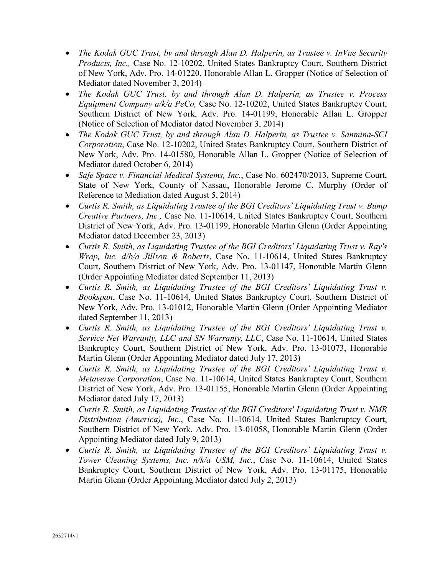- *The Kodak GUC Trust, by and through Alan D. Halperin, as Trustee v. InVue Security Products, Inc.,* Case No. 12-10202, United States Bankruptcy Court, Southern District of New York, Adv. Pro. 14-01220, Honorable Allan L. Gropper (Notice of Selection of Mediator dated November 3, 2014)
- *The Kodak GUC Trust, by and through Alan D. Halperin, as Trustee v. Process Equipment Company a/k/a PeCo,* Case No. 12-10202, United States Bankruptcy Court, Southern District of New York, Adv. Pro. 14-01199, Honorable Allan L. Gropper (Notice of Selection of Mediator dated November 3, 2014)
- *The Kodak GUC Trust, by and through Alan D. Halperin, as Trustee v. Sanmina-SCI Corporation*, Case No. 12-10202, United States Bankruptcy Court, Southern District of New York, Adv. Pro. 14-01580, Honorable Allan L. Gropper (Notice of Selection of Mediator dated October 6, 2014)
- *Safe Space v. Financial Medical Systems, Inc.*, Case No. 602470/2013, Supreme Court, State of New York, County of Nassau, Honorable Jerome C. Murphy (Order of Reference to Mediation dated August 5, 2014)
- *Curtis R. Smith, as Liquidating Trustee of the BGI Creditors' Liquidating Trust v. Bump Creative Partners, Inc.,* Case No. 11-10614, United States Bankruptcy Court, Southern District of New York, Adv. Pro. 13-01199, Honorable Martin Glenn (Order Appointing Mediator dated December 23, 2013)
- *Curtis R. Smith, as Liquidating Trustee of the BGI Creditors' Liquidating Trust v. Ray's Wrap, Inc. d/b/a Jillson & Roberts*, Case No. 11-10614, United States Bankruptcy Court, Southern District of New York, Adv. Pro. 13-01147, Honorable Martin Glenn (Order Appointing Mediator dated September 11, 2013)
- *Curtis R. Smith, as Liquidating Trustee of the BGI Creditors' Liquidating Trust v. Bookspan*, Case No. 11-10614, United States Bankruptcy Court, Southern District of New York, Adv. Pro. 13-01012, Honorable Martin Glenn (Order Appointing Mediator dated September 11, 2013)
- *Curtis R. Smith, as Liquidating Trustee of the BGI Creditors' Liquidating Trust v. Service Net Warranty, LLC and SN Warranty, LLC*, Case No. 11-10614, United States Bankruptcy Court, Southern District of New York, Adv. Pro. 13-01073, Honorable Martin Glenn (Order Appointing Mediator dated July 17, 2013)
- *Curtis R. Smith, as Liquidating Trustee of the BGI Creditors' Liquidating Trust v. Metaverse Corporation*, Case No. 11-10614, United States Bankruptcy Court, Southern District of New York, Adv. Pro. 13-01155, Honorable Martin Glenn (Order Appointing Mediator dated July 17, 2013)
- *Curtis R. Smith, as Liquidating Trustee of the BGI Creditors' Liquidating Trust v. NMR Distribution (America), Inc.*, Case No. 11-10614, United States Bankruptcy Court, Southern District of New York, Adv. Pro. 13-01058, Honorable Martin Glenn (Order Appointing Mediator dated July 9, 2013)
- *Curtis R. Smith, as Liquidating Trustee of the BGI Creditors' Liquidating Trust v. Tower Cleaning Systems, Inc. n/k/a USM, Inc.*, Case No. 11-10614, United States Bankruptcy Court, Southern District of New York, Adv. Pro. 13-01175, Honorable Martin Glenn (Order Appointing Mediator dated July 2, 2013)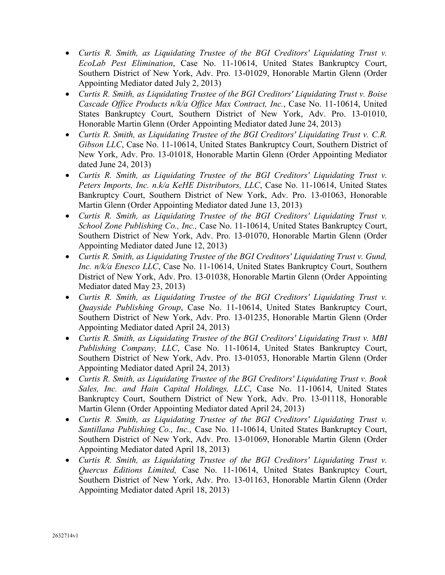- *Curtis R. Smith, as Liquidating Trustee of the BGI Creditors' Liquidating Trust v. EcoLab Pest Elimination*, Case No. 11-10614, United States Bankruptcy Court, Southern District of New York, Adv. Pro. 13-01029, Honorable Martin Glenn (Order Appointing Mediator dated July 2, 2013)
- *Curtis R. Smith, as Liquidating Trustee of the BGI Creditors' Liquidating Trust v. Boise Cascade Office Products n/k/a Office Max Contract, Inc.*, Case No. 11-10614, United States Bankruptcy Court, Southern District of New York, Adv. Pro. 13-01010, Honorable Martin Glenn (Order Appointing Mediator dated June 24, 2013)
- *Curtis R. Smith, as Liquidating Trustee of the BGI Creditors' Liquidating Trust v. C.R. Gibson LLC*, Case No. 11-10614, United States Bankruptcy Court, Southern District of New York, Adv. Pro. 13-01018, Honorable Martin Glenn (Order Appointing Mediator dated June 24, 2013)
- *Curtis R. Smith, as Liquidating Trustee of the BGI Creditors' Liquidating Trust v. Peters Imports, Inc. n.k/a KeHE Distributors, LLC*, Case No. 11-10614, United States Bankruptcy Court, Southern District of New York, Adv. Pro. 13-01063, Honorable Martin Glenn (Order Appointing Mediator dated June 13, 2013)
- *Curtis R. Smith, as Liquidating Trustee of the BGI Creditors' Liquidating Trust v. School Zone Publishing Co., Inc.,* Case No. 11-10614, United States Bankruptcy Court, Southern District of New York, Adv. Pro. 13-01070, Honorable Martin Glenn (Order Appointing Mediator dated June 12, 2013)
- *Curtis R. Smith, as Liquidating Trustee of the BGI Creditors' Liquidating Trust v. Gund, Inc. n/k/a Enesco LLC*, Case No. 11-10614, United States Bankruptcy Court, Southern District of New York, Adv. Pro. 13-01038, Honorable Martin Glenn (Order Appointing Mediator dated May 23, 2013)
- *Curtis R. Smith, as Liquidating Trustee of the BGI Creditors' Liquidating Trust v. Quayside Publishing Group*, Case No. 11-10614, United States Bankruptcy Court, Southern District of New York, Adv. Pro. 13-01235, Honorable Martin Glenn (Order Appointing Mediator dated April 24, 2013)
- *Curtis R. Smith, as Liquidating Trustee of the BGI Creditors' Liquidating Trust v. MBI Publishing Company, LLC*, Case No. 11-10614, United States Bankruptcy Court, Southern District of New York, Adv. Pro. 13-01053, Honorable Martin Glenn (Order Appointing Mediator dated April 24, 2013)
- *Curtis R. Smith, as Liquidating Trustee of the BGI Creditors' Liquidating Trust v. Book Sales, Inc. and Hain Capital Holdings, LLC*, Case No. 11-10614, United States Bankruptcy Court, Southern District of New York, Adv. Pro. 13-01118, Honorable Martin Glenn (Order Appointing Mediator dated April 24, 2013)
- *Curtis R. Smith, as Liquidating Trustee of the BGI Creditors' Liquidating Trust v. Santillana Publishing Co., Inc.,* Case No. 11-10614, United States Bankruptcy Court, Southern District of New York, Adv. Pro. 13-01069, Honorable Martin Glenn (Order Appointing Mediator dated April 18, 2013)
- *Curtis R. Smith, as Liquidating Trustee of the BGI Creditors' Liquidating Trust v. Quercus Editions Limited,* Case No. 11-10614, United States Bankruptcy Court, Southern District of New York, Adv. Pro. 13-01163, Honorable Martin Glenn (Order Appointing Mediator dated April 18, 2013)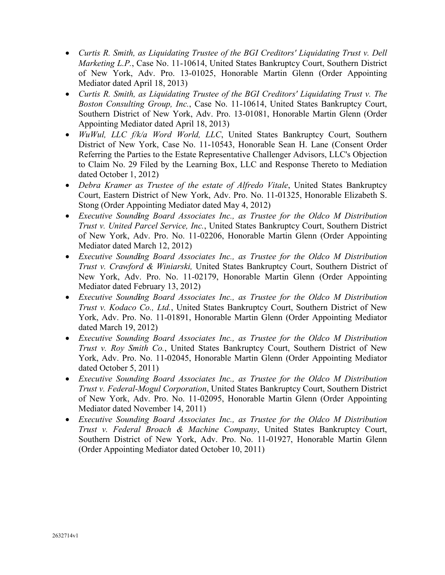- *Curtis R. Smith, as Liquidating Trustee of the BGI Creditors' Liquidating Trust v. Dell Marketing L.P.*, Case No. 11-10614, United States Bankruptcy Court, Southern District of New York, Adv. Pro. 13-01025, Honorable Martin Glenn (Order Appointing Mediator dated April 18, 2013)
- *Curtis R. Smith, as Liquidating Trustee of the BGI Creditors' Liquidating Trust v. The Boston Consulting Group, Inc.*, Case No. 11-10614, United States Bankruptcy Court, Southern District of New York, Adv. Pro. 13-01081, Honorable Martin Glenn (Order Appointing Mediator dated April 18, 2013)
- *WuWul, LLC f/k/a Word World, LLC*, United States Bankruptcy Court, Southern District of New York, Case No. 11-10543, Honorable Sean H. Lane (Consent Order Referring the Parties to the Estate Representative Challenger Advisors, LLC's Objection to Claim No. 29 Filed by the Learning Box, LLC and Response Thereto to Mediation dated October 1, 2012)
- *Debra Kramer as Trustee of the estate of Alfredo Vitale*, United States Bankruptcy Court, Eastern District of New York, Adv. Pro. No. 11-01325, Honorable Elizabeth S. Stong (Order Appointing Mediator dated May 4, 2012)
- *Executive Sounding Board Associates Inc., as Trustee for the Oldco M Distribution Trust v. United Parcel Service, Inc.*, United States Bankruptcy Court, Southern District of New York, Adv. Pro. No. 11-02206, Honorable Martin Glenn (Order Appointing Mediator dated March 12, 2012)
- *Executive Sounding Board Associates Inc., as Trustee for the Oldco M Distribution Trust v. Crawford & Winiarski,* United States Bankruptcy Court, Southern District of New York, Adv. Pro. No. 11-02179, Honorable Martin Glenn (Order Appointing Mediator dated February 13, 2012)
- *Executive Sounding Board Associates Inc., as Trustee for the Oldco M Distribution Trust v. Kodaco Co., Ltd.*, United States Bankruptcy Court, Southern District of New York, Adv. Pro. No. 11-01891, Honorable Martin Glenn (Order Appointing Mediator dated March 19, 2012)
- *Executive Sounding Board Associates Inc., as Trustee for the Oldco M Distribution Trust v. Roy Smith Co.*, United States Bankruptcy Court, Southern District of New York, Adv. Pro. No. 11-02045, Honorable Martin Glenn (Order Appointing Mediator dated October 5, 2011)
- *Executive Sounding Board Associates Inc., as Trustee for the Oldco M Distribution Trust v. Federal-Mogul Corporation*, United States Bankruptcy Court, Southern District of New York, Adv. Pro. No. 11-02095, Honorable Martin Glenn (Order Appointing Mediator dated November 14, 2011)
- *Executive Sounding Board Associates Inc., as Trustee for the Oldco M Distribution Trust v. Federal Broach & Machine Company*, United States Bankruptcy Court, Southern District of New York, Adv. Pro. No. 11-01927, Honorable Martin Glenn (Order Appointing Mediator dated October 10, 2011)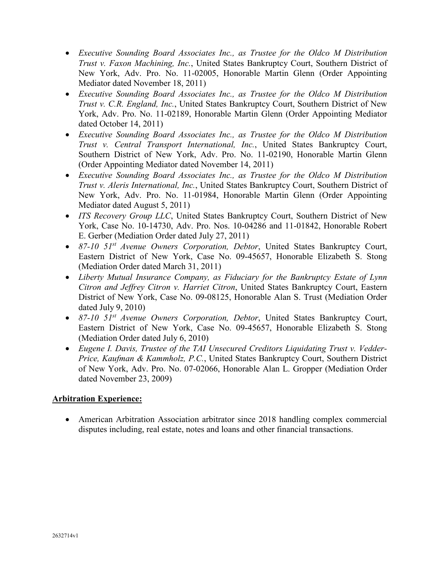- *Executive Sounding Board Associates Inc., as Trustee for the Oldco M Distribution Trust v. Faxon Machining, Inc.*, United States Bankruptcy Court, Southern District of New York, Adv. Pro. No. 11-02005, Honorable Martin Glenn (Order Appointing Mediator dated November 18, 2011)
- *Executive Sounding Board Associates Inc., as Trustee for the Oldco M Distribution Trust v. C.R. England, Inc.*, United States Bankruptcy Court, Southern District of New York, Adv. Pro. No. 11-02189, Honorable Martin Glenn (Order Appointing Mediator dated October 14, 2011)
- *Executive Sounding Board Associates Inc., as Trustee for the Oldco M Distribution Trust v. Central Transport International, Inc.*, United States Bankruptcy Court, Southern District of New York, Adv. Pro. No. 11-02190, Honorable Martin Glenn (Order Appointing Mediator dated November 14, 2011)
- *Executive Sounding Board Associates Inc., as Trustee for the Oldco M Distribution Trust v. Aleris International, Inc.*, United States Bankruptcy Court, Southern District of New York, Adv. Pro. No. 11-01984, Honorable Martin Glenn (Order Appointing Mediator dated August 5, 2011)
- *ITS Recovery Group LLC*, United States Bankruptcy Court, Southern District of New York, Case No. 10-14730, Adv. Pro. Nos. 10-04286 and 11-01842, Honorable Robert E. Gerber (Mediation Order dated July 27, 2011)
- *87-10 51st Avenue Owners Corporation, Debtor*, United States Bankruptcy Court, Eastern District of New York, Case No. 09-45657, Honorable Elizabeth S. Stong (Mediation Order dated March 31, 2011)
- *Liberty Mutual Insurance Company, as Fiduciary for the Bankruptcy Estate of Lynn Citron and Jeffrey Citron v. Harriet Citron*, United States Bankruptcy Court, Eastern District of New York, Case No. 09-08125, Honorable Alan S. Trust (Mediation Order dated July 9, 2010)
- *87-10 51st Avenue Owners Corporation, Debtor*, United States Bankruptcy Court, Eastern District of New York, Case No. 09-45657, Honorable Elizabeth S. Stong (Mediation Order dated July 6, 2010)
- *Eugene I. Davis, Trustee of the TAI Unsecured Creditors Liquidating Trust v. Vedder-Price, Kaufman & Kammholz, P.C.*, United States Bankruptcy Court, Southern District of New York, Adv. Pro. No. 07-02066, Honorable Alan L. Gropper (Mediation Order dated November 23, 2009)

## **Arbitration Experience:**

• American Arbitration Association arbitrator since 2018 handling complex commercial disputes including, real estate, notes and loans and other financial transactions.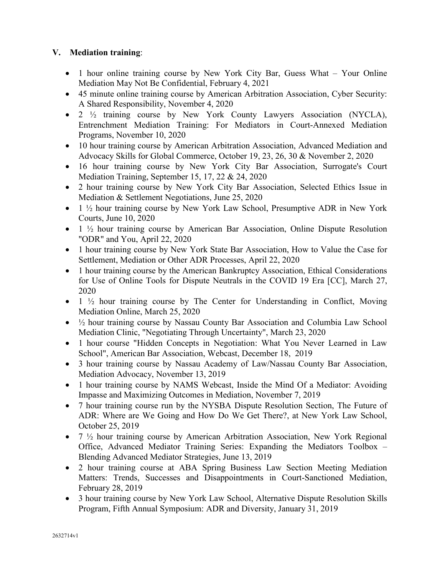## **V. Mediation training**:

- 1 hour online training course by New York City Bar, Guess What Your Online Mediation May Not Be Confidential, February 4, 2021
- 45 minute online training course by American Arbitration Association, Cyber Security: A Shared Responsibility, November 4, 2020
- 2 ½ training course by New York County Lawyers Association (NYCLA), Entrenchment Mediation Training: For Mediators in Court-Annexed Mediation Programs, November 10, 2020
- 10 hour training course by American Arbitration Association, Advanced Mediation and Advocacy Skills for Global Commerce, October 19, 23, 26, 30 & November 2, 2020
- 16 hour training course by New York City Bar Association, Surrogate's Court Mediation Training, September 15, 17, 22 & 24, 2020
- 2 hour training course by New York City Bar Association, Selected Ethics Issue in Mediation & Settlement Negotiations, June 25, 2020
- 1  $\frac{1}{2}$  hour training course by New York Law School, Presumptive ADR in New York Courts, June 10, 2020
- 1  $\frac{1}{2}$  hour training course by American Bar Association, Online Dispute Resolution "ODR" and You, April 22, 2020
- 1 hour training course by New York State Bar Association, How to Value the Case for Settlement, Mediation or Other ADR Processes, April 22, 2020
- 1 hour training course by the American Bankruptcy Association, Ethical Considerations for Use of Online Tools for Dispute Neutrals in the COVID 19 Era [CC], March 27, 2020
- 1 ½ hour training course by The Center for Understanding in Conflict, Moving Mediation Online, March 25, 2020
- ½ hour training course by Nassau County Bar Association and Columbia Law School Mediation Clinic, "Negotiating Through Uncertainty", March 23, 2020
- 1 hour course "Hidden Concepts in Negotiation: What You Never Learned in Law School", American Bar Association, Webcast, December 18, 2019
- 3 hour training course by Nassau Academy of Law/Nassau County Bar Association, Mediation Advocacy, November 13, 2019
- 1 hour training course by NAMS Webcast, Inside the Mind Of a Mediator: Avoiding Impasse and Maximizing Outcomes in Mediation, November 7, 2019
- 7 hour training course run by the NYSBA Dispute Resolution Section, The Future of ADR: Where are We Going and How Do We Get There?, at New York Law School, October 25, 2019
- 7  $\frac{1}{2}$  hour training course by American Arbitration Association, New York Regional Office, Advanced Mediator Training Series: Expanding the Mediators Toolbox – Blending Advanced Mediator Strategies, June 13, 2019
- 2 hour training course at ABA Spring Business Law Section Meeting Mediation Matters: Trends, Successes and Disappointments in Court-Sanctioned Mediation, February 28, 2019
- 3 hour training course by New York Law School, Alternative Dispute Resolution Skills Program, Fifth Annual Symposium: ADR and Diversity, January 31, 2019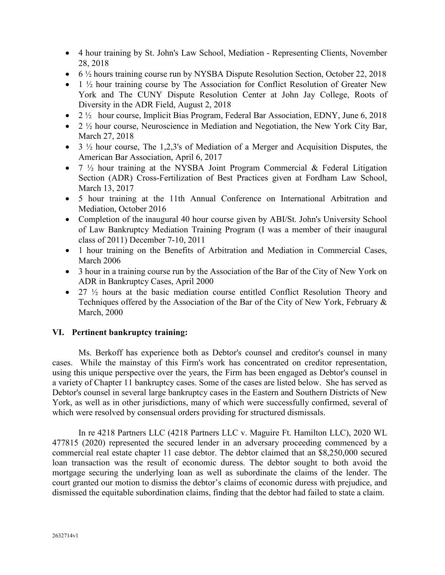- 4 hour training by St. John's Law School, Mediation Representing Clients, November 28, 2018
- 6  $\frac{1}{2}$  hours training course run by NYSBA Dispute Resolution Section, October 22, 2018
- $\bullet$  1  $\frac{1}{2}$  hour training course by The Association for Conflict Resolution of Greater New York and The CUNY Dispute Resolution Center at John Jay College, Roots of Diversity in the ADR Field, August 2, 2018
- 2  $\frac{1}{2}$  hour course, Implicit Bias Program, Federal Bar Association, EDNY, June 6, 2018
- 2  $\frac{1}{2}$  hour course, Neuroscience in Mediation and Negotiation, the New York City Bar, March 27, 2018
- 3  $\frac{1}{2}$  hour course, The 1,2,3's of Mediation of a Merger and Acquisition Disputes, the American Bar Association, April 6, 2017
- $7\frac{1}{2}$  hour training at the NYSBA Joint Program Commercial & Federal Litigation Section (ADR) Cross-Fertilization of Best Practices given at Fordham Law School, March 13, 2017
- 5 hour training at the 11th Annual Conference on International Arbitration and Mediation, October 2016
- Completion of the inaugural 40 hour course given by ABI/St. John's University School of Law Bankruptcy Mediation Training Program (I was a member of their inaugural class of 2011) December 7-10, 2011
- 1 hour training on the Benefits of Arbitration and Mediation in Commercial Cases, March 2006
- 3 hour in a training course run by the Association of the Bar of the City of New York on ADR in Bankruptcy Cases, April 2000
- 27  $\frac{1}{2}$  hours at the basic mediation course entitled Conflict Resolution Theory and Techniques offered by the Association of the Bar of the City of New York, February & March, 2000

#### **VI. Pertinent bankruptcy training:**

Ms. Berkoff has experience both as Debtor's counsel and creditor's counsel in many cases. While the mainstay of this Firm's work has concentrated on creditor representation, using this unique perspective over the years, the Firm has been engaged as Debtor's counsel in a variety of Chapter 11 bankruptcy cases. Some of the cases are listed below. She has served as Debtor's counsel in several large bankruptcy cases in the Eastern and Southern Districts of New York, as well as in other jurisdictions, many of which were successfully confirmed, several of which were resolved by consensual orders providing for structured dismissals.

In re 4218 Partners LLC (4218 Partners LLC v. Maguire Ft. Hamilton LLC), 2020 WL 477815 (2020) represented the secured lender in an adversary proceeding commenced by a commercial real estate chapter 11 case debtor. The debtor claimed that an \$8,250,000 secured loan transaction was the result of economic duress. The debtor sought to both avoid the mortgage securing the underlying loan as well as subordinate the claims of the lender. The court granted our motion to dismiss the debtor's claims of economic duress with prejudice, and dismissed the equitable subordination claims, finding that the debtor had failed to state a claim.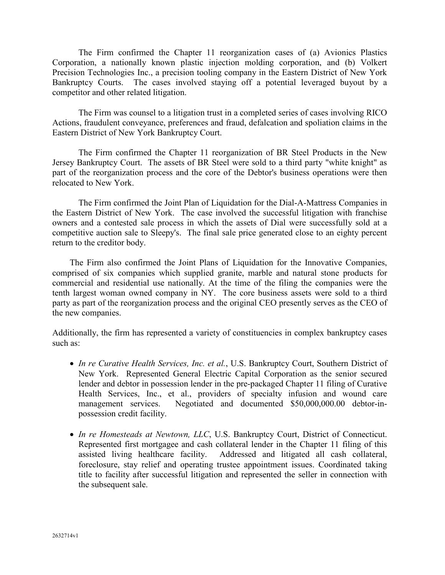The Firm confirmed the Chapter 11 reorganization cases of (a) Avionics Plastics Corporation, a nationally known plastic injection molding corporation, and (b) Volkert Precision Technologies Inc., a precision tooling company in the Eastern District of New York Bankruptcy Courts. The cases involved staying off a potential leveraged buyout by a competitor and other related litigation.

The Firm was counsel to a litigation trust in a completed series of cases involving RICO Actions, fraudulent conveyance, preferences and fraud, defalcation and spoliation claims in the Eastern District of New York Bankruptcy Court.

The Firm confirmed the Chapter 11 reorganization of BR Steel Products in the New Jersey Bankruptcy Court. The assets of BR Steel were sold to a third party "white knight" as part of the reorganization process and the core of the Debtor's business operations were then relocated to New York.

The Firm confirmed the Joint Plan of Liquidation for the Dial-A-Mattress Companies in the Eastern District of New York. The case involved the successful litigation with franchise owners and a contested sale process in which the assets of Dial were successfully sold at a competitive auction sale to Sleepy's. The final sale price generated close to an eighty percent return to the creditor body.

The Firm also confirmed the Joint Plans of Liquidation for the Innovative Companies, comprised of six companies which supplied granite, marble and natural stone products for commercial and residential use nationally. At the time of the filing the companies were the tenth largest woman owned company in NY. The core business assets were sold to a third party as part of the reorganization process and the original CEO presently serves as the CEO of the new companies.

Additionally, the firm has represented a variety of constituencies in complex bankruptcy cases such as:

- *In re Curative Health Services, Inc. et al.*, U.S. Bankruptcy Court, Southern District of New York. Represented General Electric Capital Corporation as the senior secured lender and debtor in possession lender in the pre-packaged Chapter 11 filing of Curative Health Services, Inc., et al., providers of specialty infusion and wound care management services. Negotiated and documented \$50,000,000.00 debtor-inpossession credit facility.
- *In re Homesteads at Newtown, LLC*, U.S. Bankruptcy Court, District of Connecticut. Represented first mortgagee and cash collateral lender in the Chapter 11 filing of this assisted living healthcare facility. Addressed and litigated all cash collateral, foreclosure, stay relief and operating trustee appointment issues. Coordinated taking title to facility after successful litigation and represented the seller in connection with the subsequent sale.